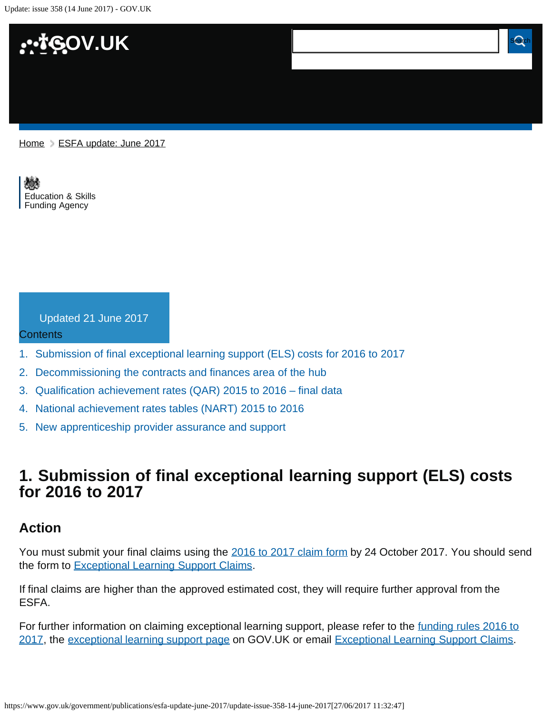Update: issue 358 (14 June 2017) - GOV.UK



#### [Home](https://www.gov.uk/) > [ESFA update: June 2017](https://www.gov.uk/government/publications/esfa-update-june-2017)

[Education & Skills](https://www.gov.uk/government/organisations/education-and-skills-funding-agency)  [Funding Agency](https://www.gov.uk/government/organisations/education-and-skills-funding-agency)

Updated 21 June 2017

#### **Contents**

- [1.](#page-0-0) [Submission of final exceptional learning support \(ELS\) costs for 2016 to 2017](#page-0-0)
- [2.](#page-1-0) [Decommissioning the contracts and finances area of the hub](#page-1-0)
- [3.](#page-1-1) [Qualification achievement rates \(QAR\) 2015 to 2016 final data](#page-1-1)
- [4.](#page-1-2) [National achievement rates tables \(NART\) 2015 to 2016](#page-1-2)
- [5.](#page-2-0) [New apprenticeship provider assurance and support](#page-2-0)

# <span id="page-0-0"></span>**1. Submission of final exceptional learning support (ELS) costs for 2016 to 2017**

#### **Action**

You must submit your final claims using the [2016 to 2017 claim form](https://www.gov.uk/government/publications/sfa-exceptional-learning-support-cost-form) by 24 October 2017. You should send the form to [Exceptional Learning Support Claims](https://www.gov.uk/government/publications/esfa-update-june-2017/ExceptionalLearningSupportClaims2016-17@sfa.bis.gov.uk).

If final claims are higher than the approved estimated cost, they will require further approval from the ESFA.

For further information on claiming exceptional learning support, please refer to the [funding rules 2016 to](https://www.gov.uk/government/publications/adult-education-budget-funding-rules) [2017](https://www.gov.uk/government/publications/adult-education-budget-funding-rules), the [exceptional learning support page](https://www.gov.uk/government/publications/sfa-exceptional-learning-support-cost-form) on GOV.UK or email [Exceptional Learning Support Claims.](https://www.gov.uk/government/publications/esfa-update-june-2017/ExceptionalLearningSupportClaims2016-17@sfa.bis.gov.uk)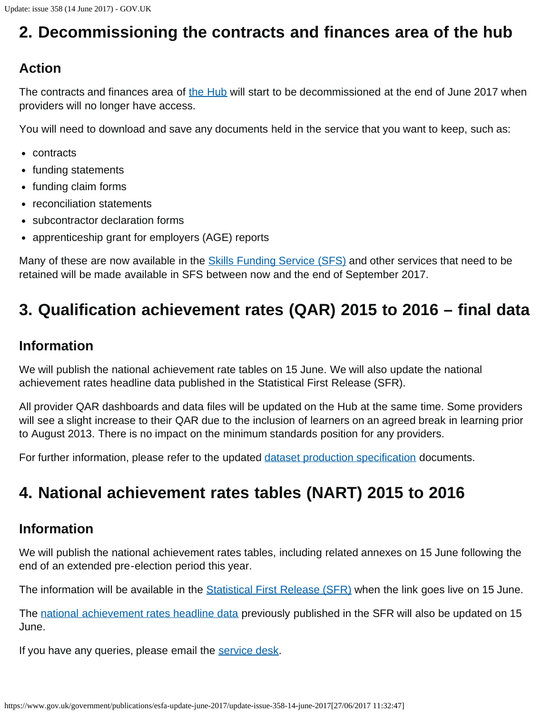# <span id="page-1-0"></span>**2. Decommissioning the contracts and finances area of the hub**

## **Action**

The contracts and finances area of [the Hub](https://des.fasst.org.uk/Pages/default.aspx) will start to be decommissioned at the end of June 2017 when providers will no longer have access.

You will need to download and save any documents held in the service that you want to keep, such as:

- contracts
- funding statements
- funding claim forms
- reconciliation statements
- subcontractor declaration forms
- apprenticeship grant for employers (AGE) reports

Many of these are now available in the **Skills Funding Service (SFS)** and other services that need to be retained will be made available in SFS between now and the end of September 2017.

# <span id="page-1-1"></span>**3. Qualification achievement rates (QAR) 2015 to 2016 – final data**

### **Information**

We will publish the national achievement rate tables on 15 June. We will also update the national achievement rates headline data published in the Statistical First Release (SFR).

All provider QAR dashboards and data files will be updated on the Hub at the same time. Some providers will see a slight increase to their QAR due to the inclusion of learners on an agreed break in learning prior to August 2013. There is no impact on the minimum standards position for any providers.

For further information, please refer to the updated [dataset production specification](https://www.gov.uk/government/publications/sfa-qualification-achievement-rate-2015-to-2016-formerly-qsr) documents.

# <span id="page-1-2"></span>**4. National achievement rates tables (NART) 2015 to 2016**

### **Information**

We will publish the national achievement rates tables, including related annexes on 15 June following the end of an extended pre-election period this year.

The information will be available in the **Statistical First Release (SFR)** when the link goes live on 15 June.

The [national achievement rates headline data](https://www.gov.uk/government/statistics/further-education-and-skills-march-2017) previously published in the SFR will also be updated on 15 June.

If you have any queries, please email the [service desk.](https://www.gov.uk/government/publications/esfa-update-june-2017/servicedesk@sfa.bis.gov.uk)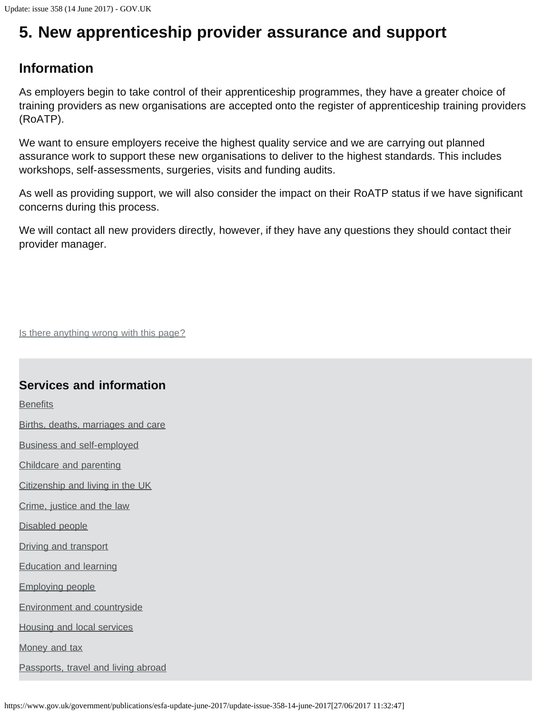# <span id="page-2-0"></span>**5. New apprenticeship provider assurance and support**

### **Information**

As employers begin to take control of their apprenticeship programmes, they have a greater choice of training providers as new organisations are accepted onto the register of apprenticeship training providers (RoATP).

We want to ensure employers receive the highest quality service and we are carrying out planned assurance work to support these new organisations to deliver to the highest standards. This includes workshops, self-assessments, surgeries, visits and funding audits.

As well as providing support, we will also consider the impact on their RoATP status if we have significant concerns during this process.

We will contact all new providers directly, however, if they have any questions they should contact their provider manager.

Is there anything wrong with this page?

### **Services and information**

**[Benefits](https://www.gov.uk/browse/benefits)** 

[Births, deaths, marriages and care](https://www.gov.uk/browse/births-deaths-marriages)

[Business and self-employed](https://www.gov.uk/browse/business)

[Childcare and parenting](https://www.gov.uk/browse/childcare-parenting)

[Citizenship and living in the UK](https://www.gov.uk/browse/citizenship)

[Crime, justice and the law](https://www.gov.uk/browse/justice)

[Disabled people](https://www.gov.uk/browse/disabilities)

[Driving and transport](https://www.gov.uk/browse/driving)

[Education and learning](https://www.gov.uk/browse/education)

[Employing people](https://www.gov.uk/browse/employing-people)

[Environment and countryside](https://www.gov.uk/browse/environment-countryside)

[Housing and local services](https://www.gov.uk/browse/housing-local-services)

[Money and tax](https://www.gov.uk/browse/tax)

[Passports, travel and living abroad](https://www.gov.uk/browse/abroad)